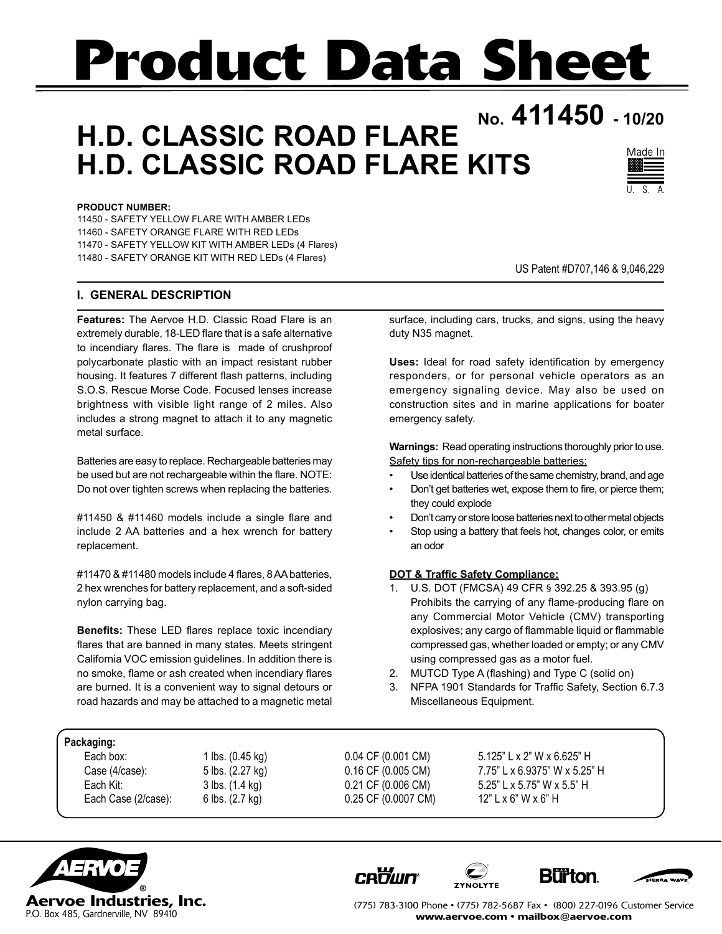# **Product Data Sheet**

# **No. 411450 - 10/20 H.D. CLASSIC ROAD FLARE H.D. CLASSIC ROAD FLARE KITS**



#### **PRODUCT NUMBER:**

11450 - SAFETY YELLOW FLARE WITH AMBER LEDs 11460 - SAFETY ORANGE FLARE WITH RED LEDs 11470 - SAFETY YELLOW KIT WITH AMBER LEDs (4 Flares) 11480 - SAFETY ORANGE KIT WITH RED LEDs (4 Flares)

#### **I. GENERAL DESCRIPTION**

**Features:** The Aervoe H.D. Classic Road Flare is an extremely durable, 18-LED flare that is a safe alternative to incendiary flares. The flare is made of crushproof polycarbonate plastic with an impact resistant rubber housing. It features 7 different flash patterns, including S.O.S. Rescue Morse Code. Focused lenses increase brightness with visible light range of 2 miles. Also includes a strong magnet to attach it to any magnetic metal surface.

Batteries are easy to replace. Rechargeable batteries may be used but are not rechargeable within the flare. NOTE: Do not over tighten screws when replacing the batteries.

#11450 & #11460 models include a single flare and include 2 AA batteries and a hex wrench for battery replacement.

#11470 & #11480 models include 4 flares, 8 AA batteries, 2 hex wrenches for battery replacement, and a soft-sided nylon carrying bag.

**Benefits:** These LED flares replace toxic incendiary flares that are banned in many states. Meets stringent California VOC emission guidelines. In addition there is no smoke, flame or ash created when incendiary flares are burned. It is a convenient way to signal detours or road hazards and may be attached to a magnetic metal US Patent #D707,146 & 9,046,229

surface, including cars, trucks, and signs, using the heavy duty N35 magnet.

**Uses:** Ideal for road safety identification by emergency responders, or for personal vehicle operators as an emergency signaling device. May also be used on construction sites and in marine applications for boater emergency safety.

**Warnings:** Read operating instructions thoroughly prior to use. Safety tips for non-rechargeable batteries:

- Use identical batteries of the same chemistry, brand, and age
- Don't get batteries wet, expose them to fire, or pierce them; they could explode
- Don't carry or store loose batteries next to other metal objects
- Stop using a battery that feels hot, changes color, or emits an odor

#### **DOT & Traffic Safety Compliance:**

- 1. U.S. DOT (FMCSA) 49 CFR § 392.25 & 393.95 (g) Prohibits the carrying of any flame-producing flare on any Commercial Motor Vehicle (CMV) transporting explosives; any cargo of flammable liquid or flammable compressed gas, whether loaded or empty; or any CMV using compressed gas as a motor fuel.
- 2. MUTCD Type A (flashing) and Type C (solid on)
- 3. NFPA 1901 Standards for Traffic Safety, Section 6.7.3 Miscellaneous Equipment.

#### **Packaging:**

Each Case (2/case): 6 lbs. (2.7 kg) 0.25 CF (0.0007 CM) 12" L x 6" W x 6" H

Each box: 1 lbs. (0.45 kg) 0.04 CF (0.001 CM) 5.125" L x 2" W x 6.625" H Case (4/case): 5 lbs. (2.27 kg) 0.16 CF (0.005 CM) 7.75" L x 6.9375" W x 5.25" H Each Kit: 3 lbs. (1.4 kg) 0.21 CF (0.006 CM) 5.25" L x 5.75" W x 5.5" H



**CRowler** 







(775) 783-3100 Phone • (775) 782-5687 Fax • (800) 227-0196 Customer Service www.aervoe.com • mailbox@aervoe.com